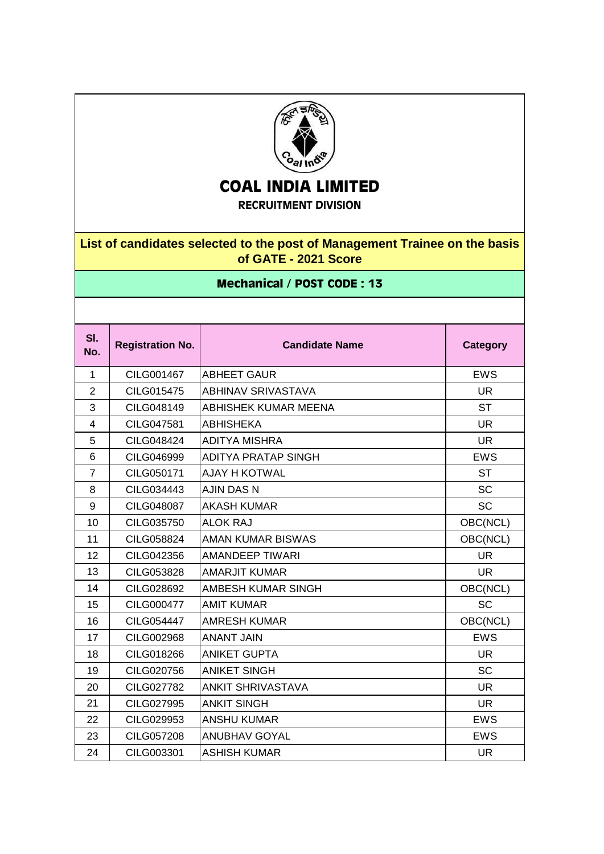

## **COAL INDIA LIMITED**

**RECRUITMENT DIVISION**

## **List of candidates selected to the post of Management Trainee on the basis of GATE - 2021 Score**

## **Mechanical / POST CODE : 13**

| SI.<br>No.     | <b>Registration No.</b> | <b>Candidate Name</b>      | <b>Category</b> |
|----------------|-------------------------|----------------------------|-----------------|
| $\mathbf{1}$   | CILG001467              | <b>ABHEET GAUR</b>         | <b>EWS</b>      |
| $\overline{2}$ | CILG015475              | ABHINAV SRIVASTAVA         | <b>UR</b>       |
| 3              | CILG048149              | ABHISHEK KUMAR MEENA       | <b>ST</b>       |
| $\overline{4}$ | CILG047581              | <b>ABHISHEKA</b>           | <b>UR</b>       |
| 5              | CILG048424              | ADITYA MISHRA              | <b>UR</b>       |
| $6\phantom{1}$ | CILG046999              | <b>ADITYA PRATAP SINGH</b> | <b>EWS</b>      |
| $\overline{7}$ | CILG050171              | AJAY H KOTWAL              | <b>ST</b>       |
| 8              | CILG034443              | <b>AJIN DAS N</b>          | <b>SC</b>       |
| 9              | CILG048087              | <b>AKASH KUMAR</b>         | <b>SC</b>       |
| 10             | CILG035750              | <b>ALOK RAJ</b>            | OBC(NCL)        |
| 11             | CILG058824              | <b>AMAN KUMAR BISWAS</b>   | OBC(NCL)        |
| 12             | CILG042356              | <b>AMANDEEP TIWARI</b>     | <b>UR</b>       |
| 13             | CILG053828              | <b>AMARJIT KUMAR</b>       | <b>UR</b>       |
| 14             | CILG028692              | AMBESH KUMAR SINGH         | OBC(NCL)        |
| 15             | CILG000477              | <b>AMIT KUMAR</b>          | <b>SC</b>       |
| 16             | CILG054447              | <b>AMRESH KUMAR</b>        | OBC(NCL)        |
| 17             | CILG002968              | <b>ANANT JAIN</b>          | <b>EWS</b>      |
| 18             | CILG018266              | <b>ANIKET GUPTA</b>        | <b>UR</b>       |
| 19             | CILG020756              | <b>ANIKET SINGH</b>        | <b>SC</b>       |
| 20             | <b>CILG027782</b>       | <b>ANKIT SHRIVASTAVA</b>   | <b>UR</b>       |
| 21             | CILG027995              | <b>ANKIT SINGH</b>         | <b>UR</b>       |
| 22             | CILG029953              | <b>ANSHU KUMAR</b>         | <b>EWS</b>      |
| 23             | <b>CILG057208</b>       | <b>ANUBHAV GOYAL</b>       | <b>EWS</b>      |
| 24             | CILG003301              | <b>ASHISH KUMAR</b>        | <b>UR</b>       |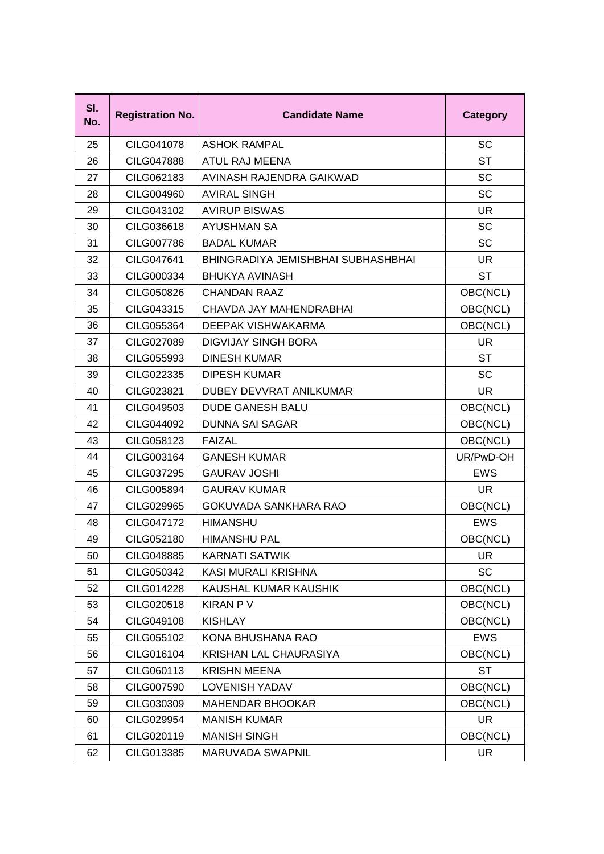| SI.<br>No. | <b>Registration No.</b> | <b>Candidate Name</b>              | <b>Category</b> |
|------------|-------------------------|------------------------------------|-----------------|
| 25         | CILG041078              | <b>ASHOK RAMPAL</b>                | SC              |
| 26         | <b>CILG047888</b>       | <b>ATUL RAJ MEENA</b>              | <b>ST</b>       |
| 27         | CILG062183              | AVINASH RAJENDRA GAIKWAD           | <b>SC</b>       |
| 28         | CILG004960              | <b>AVIRAL SINGH</b>                | SC              |
| 29         | CILG043102              | <b>AVIRUP BISWAS</b>               | <b>UR</b>       |
| 30         | CILG036618              | <b>AYUSHMAN SA</b>                 | SC              |
| 31         | <b>CILG007786</b>       | <b>BADAL KUMAR</b>                 | SC              |
| 32         | CILG047641              | BHINGRADIYA JEMISHBHAI SUBHASHBHAI | <b>UR</b>       |
| 33         | CILG000334              | <b>BHUKYA AVINASH</b>              | <b>ST</b>       |
| 34         | CILG050826              | <b>CHANDAN RAAZ</b>                | OBC(NCL)        |
| 35         | CILG043315              | CHAVDA JAY MAHENDRABHAI            | OBC(NCL)        |
| 36         | CILG055364              | DEEPAK VISHWAKARMA                 | OBC(NCL)        |
| 37         | CILG027089              | <b>DIGVIJAY SINGH BORA</b>         | <b>UR</b>       |
| 38         | CILG055993              | <b>DINESH KUMAR</b>                | <b>ST</b>       |
| 39         | CILG022335              | <b>DIPESH KUMAR</b>                | SC              |
| 40         | CILG023821              | DUBEY DEVVRAT ANILKUMAR            | <b>UR</b>       |
| 41         | CILG049503              | <b>DUDE GANESH BALU</b>            | OBC(NCL)        |
| 42         | CILG044092              | <b>DUNNA SAI SAGAR</b>             | OBC(NCL)        |
| 43         | CILG058123              | <b>FAIZAL</b>                      | OBC(NCL)        |
| 44         | CILG003164              | <b>GANESH KUMAR</b>                | UR/PwD-OH       |
| 45         | CILG037295              | <b>GAURAV JOSHI</b>                | <b>EWS</b>      |
| 46         | CILG005894              | <b>GAURAV KUMAR</b>                | <b>UR</b>       |
| 47         | CILG029965              | <b>GOKUVADA SANKHARA RAO</b>       | OBC(NCL)        |
| 48         | CILG047172              | <b>HIMANSHU</b>                    | <b>EWS</b>      |
| 49         | CILG052180              | <b>HIMANSHU PAL</b>                | OBC(NCL)        |
| 50         | CILG048885              | <b>KARNATI SATWIK</b>              | UR.             |
| 51         | CILG050342              | KASI MURALI KRISHNA                | <b>SC</b>       |
| 52         | CILG014228              | KAUSHAL KUMAR KAUSHIK              | OBC(NCL)        |
| 53         | CILG020518              | <b>KIRAN P V</b>                   | OBC(NCL)        |
| 54         | CILG049108              | <b>KISHLAY</b>                     | OBC(NCL)        |
| 55         | CILG055102              | KONA BHUSHANA RAO                  | <b>EWS</b>      |
| 56         | CILG016104              | KRISHAN LAL CHAURASIYA             | OBC(NCL)        |
| 57         | CILG060113              | <b>KRISHN MEENA</b>                | <b>ST</b>       |
| 58         | CILG007590              | <b>LOVENISH YADAV</b>              | OBC(NCL)        |
| 59         | CILG030309              | <b>MAHENDAR BHOOKAR</b>            | OBC(NCL)        |
| 60         | CILG029954              | <b>MANISH KUMAR</b>                | UR              |
| 61         | CILG020119              | <b>MANISH SINGH</b>                | OBC(NCL)        |
| 62         | CILG013385              | MARUVADA SWAPNIL                   | UR              |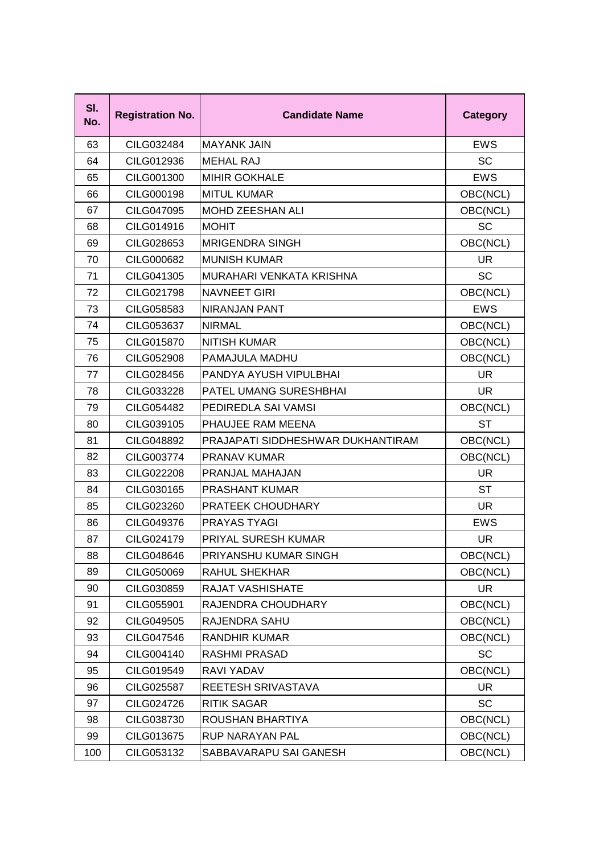| SI.<br>No. | <b>Registration No.</b> | <b>Candidate Name</b>             | <b>Category</b> |
|------------|-------------------------|-----------------------------------|-----------------|
| 63         | CILG032484              | <b>MAYANK JAIN</b>                | EWS             |
| 64         | CILG012936              | <b>MEHAL RAJ</b>                  | SC              |
| 65         | CILG001300              | <b>MIHIR GOKHALE</b>              | <b>EWS</b>      |
| 66         | CILG000198              | <b>MITUL KUMAR</b>                | OBC(NCL)        |
| 67         | CILG047095              | MOHD ZEESHAN ALI                  | OBC(NCL)        |
| 68         | CILG014916              | <b>MOHIT</b>                      | SC              |
| 69         | CILG028653              | <b>MRIGENDRA SINGH</b>            | OBC(NCL)        |
| 70         | CILG000682              | <b>MUNISH KUMAR</b>               | UR.             |
| 71         | CILG041305              | MURAHARI VENKATA KRISHNA          | SC              |
| 72         | CILG021798              | <b>NAVNEET GIRI</b>               | OBC(NCL)        |
| 73         | CILG058583              | <b>NIRANJAN PANT</b>              | <b>EWS</b>      |
| 74         | CILG053637              | <b>NIRMAL</b>                     | OBC(NCL)        |
| 75         | <b>CILG015870</b>       | <b>NITISH KUMAR</b>               | OBC(NCL)        |
| 76         | <b>CILG052908</b>       | <b>PAMAJULA MADHU</b>             | OBC(NCL)        |
| 77         | CILG028456              | PANDYA AYUSH VIPULBHAI            | <b>UR</b>       |
| 78         | CILG033228              | <b>PATEL UMANG SURESHBHAI</b>     | <b>UR</b>       |
| 79         | CILG054482              | PEDIREDLA SAI VAMSI               | OBC(NCL)        |
| 80         | CILG039105              | PHAUJEE RAM MEENA                 | <b>ST</b>       |
| 81         | CILG048892              | PRAJAPATI SIDDHESHWAR DUKHANTIRAM | OBC(NCL)        |
| 82         | CILG003774              | PRANAV KUMAR                      | OBC(NCL)        |
| 83         | <b>CILG022208</b>       | <b>PRANJAL MAHAJAN</b>            | <b>UR</b>       |
| 84         | CILG030165              | <b>PRASHANT KUMAR</b>             | ST              |
| 85         | CILG023260              | <b>PRATEEK CHOUDHARY</b>          | <b>UR</b>       |
| 86         | CILG049376              | <b>PRAYAS TYAGI</b>               | <b>EWS</b>      |
| 87         | CILG024179              | <b>PRIYAL SURESH KUMAR</b>        | UR.             |
| 88         | CILG048646              | PRIYANSHU KUMAR SINGH             | OBC(NCL)        |
| 89         | CILG050069              | <b>RAHUL SHEKHAR</b>              | OBC(NCL)        |
| 90         | CILG030859              | <b>RAJAT VASHISHATE</b>           | <b>UR</b>       |
| 91         | CILG055901              | RAJENDRA CHOUDHARY                | OBC(NCL)        |
| 92         | CILG049505              | RAJENDRA SAHU                     | OBC(NCL)        |
| 93         | CILG047546              | <b>RANDHIR KUMAR</b>              | OBC(NCL)        |
| 94         | CILG004140              | <b>RASHMI PRASAD</b>              | SC              |
| 95         | CILG019549              | RAVI YADAV                        | OBC(NCL)        |
| 96         | <b>CILG025587</b>       | REETESH SRIVASTAVA                | <b>UR</b>       |
| 97         | CILG024726              | <b>RITIK SAGAR</b>                | SC              |
| 98         | CILG038730              | ROUSHAN BHARTIYA                  | OBC(NCL)        |
| 99         | CILG013675              | <b>RUP NARAYAN PAL</b>            | OBC(NCL)        |
| 100        | CILG053132              | SABBAVARAPU SAI GANESH            | OBC(NCL)        |